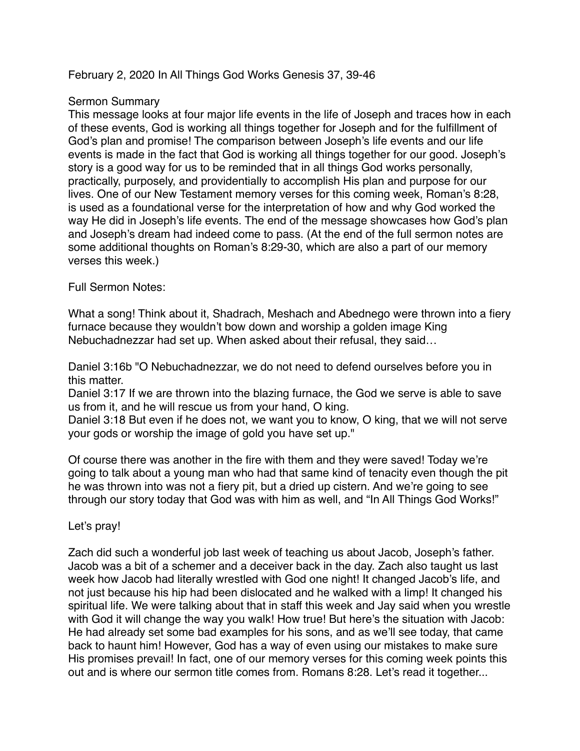#### February 2, 2020 In All Things God Works Genesis 37, 39-46

### Sermon Summary

This message looks at four major life events in the life of Joseph and traces how in each of these events, God is working all things together for Joseph and for the fulfillment of God's plan and promise! The comparison between Joseph's life events and our life events is made in the fact that God is working all things together for our good. Joseph's story is a good way for us to be reminded that in all things God works personally, practically, purposely, and providentially to accomplish His plan and purpose for our lives. One of our New Testament memory verses for this coming week, Roman's 8:28, is used as a foundational verse for the interpretation of how and why God worked the way He did in Joseph's life events. The end of the message showcases how God's plan and Joseph's dream had indeed come to pass. (At the end of the full sermon notes are some additional thoughts on Roman's 8:29-30, which are also a part of our memory verses this week.)

#### Full Sermon Notes:

What a song! Think about it, Shadrach, Meshach and Abednego were thrown into a fiery furnace because they wouldn't bow down and worship a golden image King Nebuchadnezzar had set up. When asked about their refusal, they said…

Daniel 3:16b "O Nebuchadnezzar, we do not need to defend ourselves before you in this matter.

Daniel 3:17 If we are thrown into the blazing furnace, the God we serve is able to save us from it, and he will rescue us from your hand, O king.

Daniel 3:18 But even if he does not, we want you to know, O king, that we will not serve your gods or worship the image of gold you have set up."

Of course there was another in the fire with them and they were saved! Today we're going to talk about a young man who had that same kind of tenacity even though the pit he was thrown into was not a fiery pit, but a dried up cistern. And we're going to see through our story today that God was with him as well, and "In All Things God Works!"

Let's pray!

Zach did such a wonderful job last week of teaching us about Jacob, Joseph's father. Jacob was a bit of a schemer and a deceiver back in the day. Zach also taught us last week how Jacob had literally wrestled with God one night! It changed Jacob's life, and not just because his hip had been dislocated and he walked with a limp! It changed his spiritual life. We were talking about that in staff this week and Jay said when you wrestle with God it will change the way you walk! How true! But here's the situation with Jacob: He had already set some bad examples for his sons, and as we'll see today, that came back to haunt him! However, God has a way of even using our mistakes to make sure His promises prevail! In fact, one of our memory verses for this coming week points this out and is where our sermon title comes from. Romans 8:28. Let's read it together...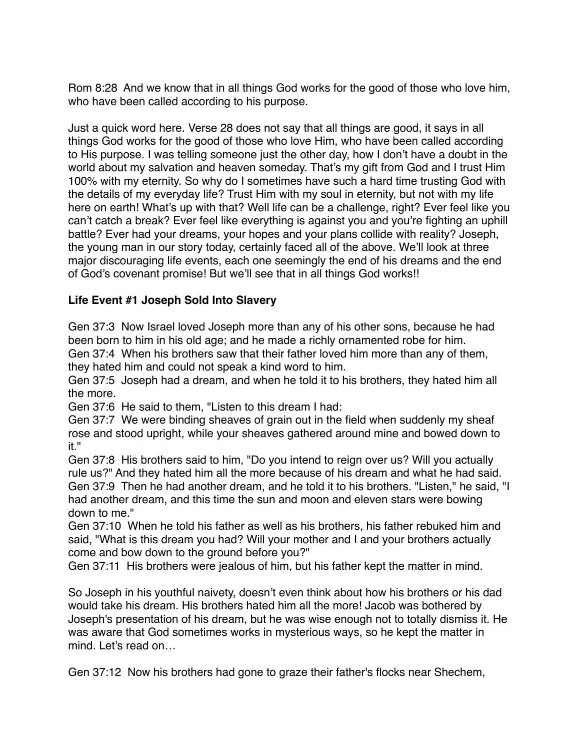Rom 8:28 And we know that in all things God works for the good of those who love him, who have been called according to his purpose.

Just a quick word here. Verse 28 does not say that all things are good, it says in all things God works for the good of those who love Him, who have been called according to His purpose. I was telling someone just the other day, how I don't have a doubt in the world about my salvation and heaven someday. That's my gift from God and I trust Him 100% with my eternity. So why do I sometimes have such a hard time trusting God with the details of my everyday life? Trust Him with my soul in eternity, but not with my life here on earth! What's up with that? Well life can be a challenge, right? Ever feel like you can't catch a break? Ever feel like everything is against you and you're fighting an uphill battle? Ever had your dreams, your hopes and your plans collide with reality? Joseph, the young man in our story today, certainly faced all of the above. We'll look at three major discouraging life events, each one seemingly the end of his dreams and the end of God's covenant promise! But we'll see that in all things God works!!

# **Life Event #1 Joseph Sold Into Slavery**

Gen 37:3 Now Israel loved Joseph more than any of his other sons, because he had been born to him in his old age; and he made a richly ornamented robe for him. Gen 37:4 When his brothers saw that their father loved him more than any of them, they hated him and could not speak a kind word to him.

Gen 37:5 Joseph had a dream, and when he told it to his brothers, they hated him all the more.

Gen 37:6 He said to them, "Listen to this dream I had:

Gen 37:7 We were binding sheaves of grain out in the field when suddenly my sheaf rose and stood upright, while your sheaves gathered around mine and bowed down to it."

Gen 37:8 His brothers said to him, "Do you intend to reign over us? Will you actually rule us?" And they hated him all the more because of his dream and what he had said. Gen 37:9 Then he had another dream, and he told it to his brothers. "Listen," he said, "I had another dream, and this time the sun and moon and eleven stars were bowing down to me."

Gen 37:10 When he told his father as well as his brothers, his father rebuked him and said, "What is this dream you had? Will your mother and I and your brothers actually come and bow down to the ground before you?"

Gen 37:11 His brothers were jealous of him, but his father kept the matter in mind.

So Joseph in his youthful naivety, doesn't even think about how his brothers or his dad would take his dream. His brothers hated him all the more! Jacob was bothered by Joseph's presentation of his dream, but he was wise enough not to totally dismiss it. He was aware that God sometimes works in mysterious ways, so he kept the matter in mind. Let's read on…

Gen 37:12 Now his brothers had gone to graze their father's flocks near Shechem,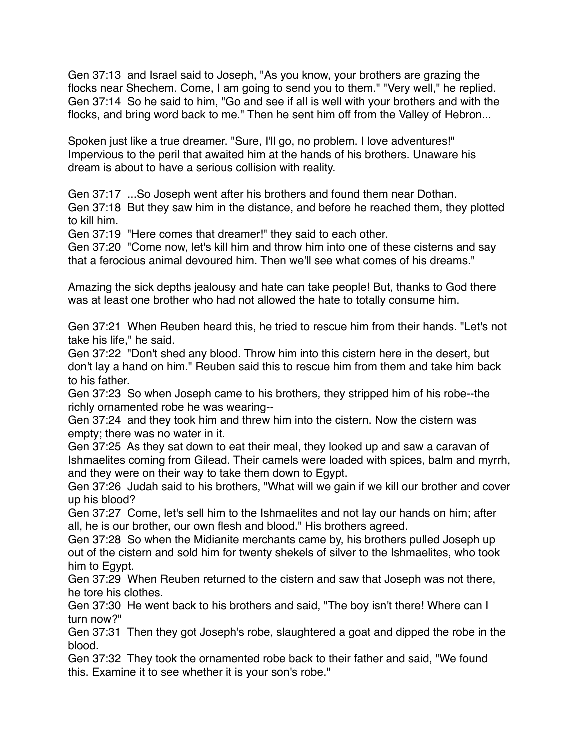Gen 37:13 and Israel said to Joseph, "As you know, your brothers are grazing the flocks near Shechem. Come, I am going to send you to them." "Very well," he replied. Gen 37:14 So he said to him, "Go and see if all is well with your brothers and with the flocks, and bring word back to me." Then he sent him off from the Valley of Hebron...

Spoken just like a true dreamer. "Sure, I'll go, no problem. I love adventures!" Impervious to the peril that awaited him at the hands of his brothers. Unaware his dream is about to have a serious collision with reality.

Gen 37:17 ...So Joseph went after his brothers and found them near Dothan. Gen 37:18 But they saw him in the distance, and before he reached them, they plotted to kill him.

Gen 37:19 "Here comes that dreamer!" they said to each other.

Gen 37:20 "Come now, let's kill him and throw him into one of these cisterns and say that a ferocious animal devoured him. Then we'll see what comes of his dreams."

Amazing the sick depths jealousy and hate can take people! But, thanks to God there was at least one brother who had not allowed the hate to totally consume him.

Gen 37:21 When Reuben heard this, he tried to rescue him from their hands. "Let's not take his life," he said.

Gen 37:22 "Don't shed any blood. Throw him into this cistern here in the desert, but don't lay a hand on him." Reuben said this to rescue him from them and take him back to his father.

Gen 37:23 So when Joseph came to his brothers, they stripped him of his robe--the richly ornamented robe he was wearing--

Gen 37:24 and they took him and threw him into the cistern. Now the cistern was empty; there was no water in it.

Gen 37:25 As they sat down to eat their meal, they looked up and saw a caravan of Ishmaelites coming from Gilead. Their camels were loaded with spices, balm and myrrh, and they were on their way to take them down to Egypt.

Gen 37:26 Judah said to his brothers, "What will we gain if we kill our brother and cover up his blood?

Gen 37:27 Come, let's sell him to the Ishmaelites and not lay our hands on him; after all, he is our brother, our own flesh and blood." His brothers agreed.

Gen 37:28 So when the Midianite merchants came by, his brothers pulled Joseph up out of the cistern and sold him for twenty shekels of silver to the Ishmaelites, who took him to Egypt.

Gen 37:29 When Reuben returned to the cistern and saw that Joseph was not there, he tore his clothes.

Gen 37:30 He went back to his brothers and said, "The boy isn't there! Where can I turn now?"

Gen 37:31 Then they got Joseph's robe, slaughtered a goat and dipped the robe in the blood.

Gen 37:32 They took the ornamented robe back to their father and said, "We found this. Examine it to see whether it is your son's robe."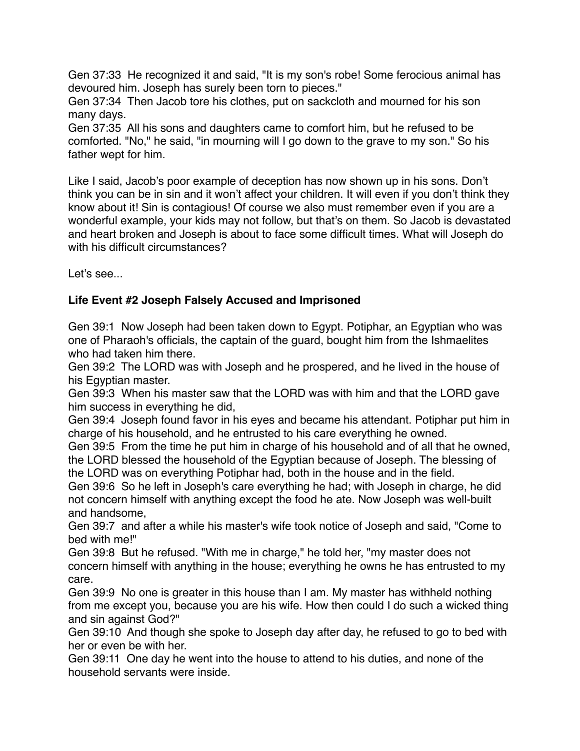Gen 37:33 He recognized it and said, "It is my son's robe! Some ferocious animal has devoured him. Joseph has surely been torn to pieces."

Gen 37:34 Then Jacob tore his clothes, put on sackcloth and mourned for his son many days.

Gen 37:35 All his sons and daughters came to comfort him, but he refused to be comforted. "No," he said, "in mourning will I go down to the grave to my son." So his father wept for him.

Like I said, Jacob's poor example of deception has now shown up in his sons. Don't think you can be in sin and it won't affect your children. It will even if you don't think they know about it! Sin is contagious! Of course we also must remember even if you are a wonderful example, your kids may not follow, but that's on them. So Jacob is devastated and heart broken and Joseph is about to face some difficult times. What will Joseph do with his difficult circumstances?

Let's see...

# **Life Event #2 Joseph Falsely Accused and Imprisoned**

Gen 39:1 Now Joseph had been taken down to Egypt. Potiphar, an Egyptian who was one of Pharaoh's officials, the captain of the guard, bought him from the Ishmaelites who had taken him there.

Gen 39:2 The LORD was with Joseph and he prospered, and he lived in the house of his Egyptian master.

Gen 39:3 When his master saw that the LORD was with him and that the LORD gave him success in everything he did,

Gen 39:4 Joseph found favor in his eyes and became his attendant. Potiphar put him in charge of his household, and he entrusted to his care everything he owned.

Gen 39:5 From the time he put him in charge of his household and of all that he owned, the LORD blessed the household of the Egyptian because of Joseph. The blessing of the LORD was on everything Potiphar had, both in the house and in the field.

Gen 39:6 So he left in Joseph's care everything he had; with Joseph in charge, he did not concern himself with anything except the food he ate. Now Joseph was well-built and handsome,

Gen 39:7 and after a while his master's wife took notice of Joseph and said, "Come to bed with me!"

Gen 39:8 But he refused. "With me in charge," he told her, "my master does not concern himself with anything in the house; everything he owns he has entrusted to my care.

Gen 39:9 No one is greater in this house than I am. My master has withheld nothing from me except you, because you are his wife. How then could I do such a wicked thing and sin against God?"

Gen 39:10 And though she spoke to Joseph day after day, he refused to go to bed with her or even be with her.

Gen 39:11 One day he went into the house to attend to his duties, and none of the household servants were inside.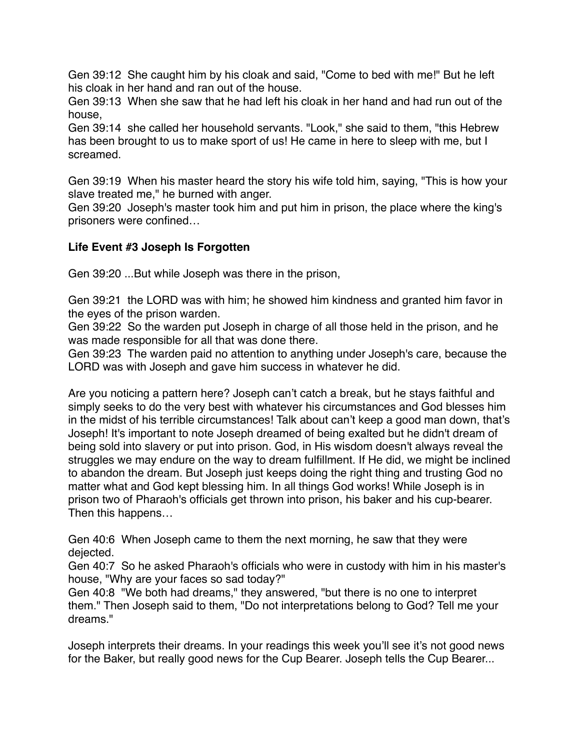Gen 39:12 She caught him by his cloak and said, "Come to bed with me!" But he left his cloak in her hand and ran out of the house.

Gen 39:13 When she saw that he had left his cloak in her hand and had run out of the house,

Gen 39:14 she called her household servants. "Look," she said to them, "this Hebrew has been brought to us to make sport of us! He came in here to sleep with me. but I screamed.

Gen 39:19 When his master heard the story his wife told him, saying, "This is how your slave treated me," he burned with anger.

Gen 39:20 Joseph's master took him and put him in prison, the place where the king's prisoners were confined…

## **Life Event #3 Joseph Is Forgotten**

Gen 39:20 ...But while Joseph was there in the prison,

Gen 39:21 the LORD was with him; he showed him kindness and granted him favor in the eyes of the prison warden.

Gen 39:22 So the warden put Joseph in charge of all those held in the prison, and he was made responsible for all that was done there.

Gen 39:23 The warden paid no attention to anything under Joseph's care, because the LORD was with Joseph and gave him success in whatever he did.

Are you noticing a pattern here? Joseph can't catch a break, but he stays faithful and simply seeks to do the very best with whatever his circumstances and God blesses him in the midst of his terrible circumstances! Talk about can't keep a good man down, that's Joseph! It's important to note Joseph dreamed of being exalted but he didn't dream of being sold into slavery or put into prison. God, in His wisdom doesn't always reveal the struggles we may endure on the way to dream fulfillment. If He did, we might be inclined to abandon the dream. But Joseph just keeps doing the right thing and trusting God no matter what and God kept blessing him. In all things God works! While Joseph is in prison two of Pharaoh's officials get thrown into prison, his baker and his cup-bearer. Then this happens…

Gen 40:6 When Joseph came to them the next morning, he saw that they were dejected.

Gen 40:7 So he asked Pharaoh's officials who were in custody with him in his master's house, "Why are your faces so sad today?"

Gen 40:8 "We both had dreams," they answered, "but there is no one to interpret them." Then Joseph said to them, "Do not interpretations belong to God? Tell me your dreams."

Joseph interprets their dreams. In your readings this week you'll see it's not good news for the Baker, but really good news for the Cup Bearer. Joseph tells the Cup Bearer...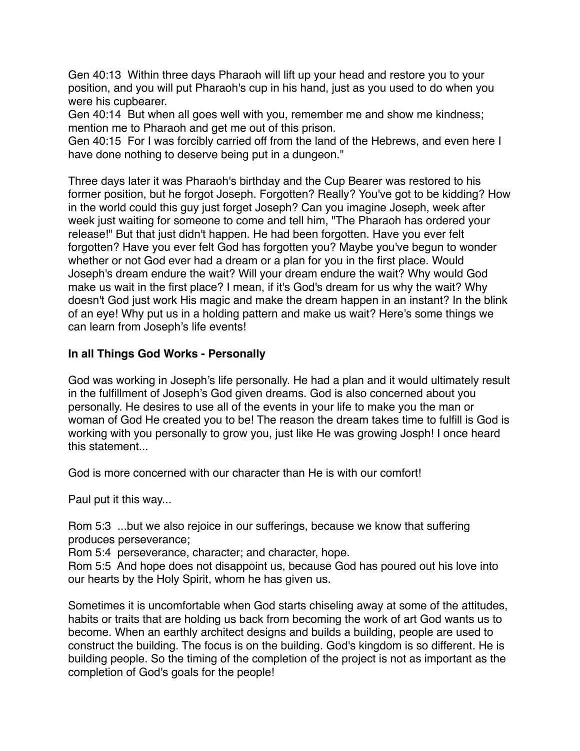Gen 40:13 Within three days Pharaoh will lift up your head and restore you to your position, and you will put Pharaoh's cup in his hand, just as you used to do when you were his cupbearer.

Gen 40:14 But when all goes well with you, remember me and show me kindness; mention me to Pharaoh and get me out of this prison.

Gen 40:15 For I was forcibly carried off from the land of the Hebrews, and even here I have done nothing to deserve being put in a dungeon."

Three days later it was Pharaoh's birthday and the Cup Bearer was restored to his former position, but he forgot Joseph. Forgotten? Really? You've got to be kidding? How in the world could this guy just forget Joseph? Can you imagine Joseph, week after week just waiting for someone to come and tell him, "The Pharaoh has ordered your release!" But that just didn't happen. He had been forgotten. Have you ever felt forgotten? Have you ever felt God has forgotten you? Maybe you've begun to wonder whether or not God ever had a dream or a plan for you in the first place. Would Joseph's dream endure the wait? Will your dream endure the wait? Why would God make us wait in the first place? I mean, if it's God's dream for us why the wait? Why doesn't God just work His magic and make the dream happen in an instant? In the blink of an eye! Why put us in a holding pattern and make us wait? Here's some things we can learn from Joseph's life events!

### **In all Things God Works - Personally**

God was working in Joseph's life personally. He had a plan and it would ultimately result in the fulfillment of Joseph's God given dreams. God is also concerned about you personally. He desires to use all of the events in your life to make you the man or woman of God He created you to be! The reason the dream takes time to fulfill is God is working with you personally to grow you, just like He was growing Josph! I once heard this statement...

God is more concerned with our character than He is with our comfort!

Paul put it this way...

Rom 5:3 ...but we also rejoice in our sufferings, because we know that suffering produces perseverance;

Rom 5:4 perseverance, character; and character, hope.

Rom 5:5 And hope does not disappoint us, because God has poured out his love into our hearts by the Holy Spirit, whom he has given us.

Sometimes it is uncomfortable when God starts chiseling away at some of the attitudes, habits or traits that are holding us back from becoming the work of art God wants us to become. When an earthly architect designs and builds a building, people are used to construct the building. The focus is on the building. God's kingdom is so different. He is building people. So the timing of the completion of the project is not as important as the completion of God's goals for the people!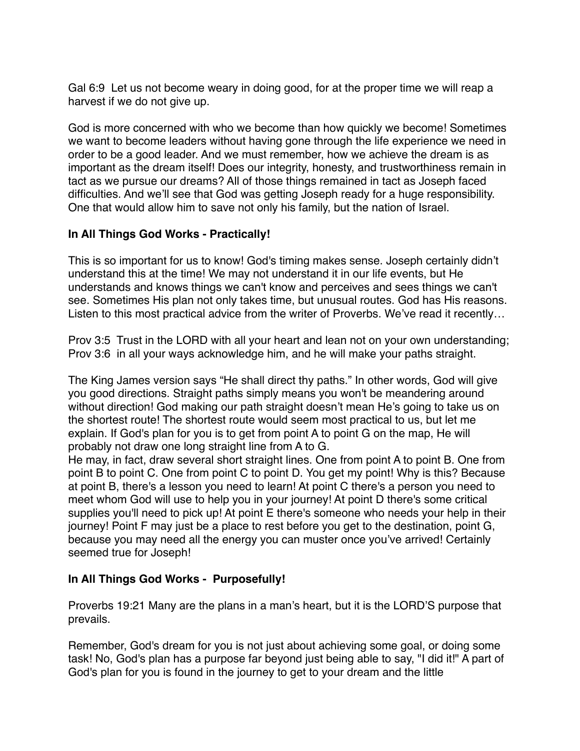Gal 6:9 Let us not become weary in doing good, for at the proper time we will reap a harvest if we do not give up.

God is more concerned with who we become than how quickly we become! Sometimes we want to become leaders without having gone through the life experience we need in order to be a good leader. And we must remember, how we achieve the dream is as important as the dream itself! Does our integrity, honesty, and trustworthiness remain in tact as we pursue our dreams? All of those things remained in tact as Joseph faced difficulties. And we'll see that God was getting Joseph ready for a huge responsibility. One that would allow him to save not only his family, but the nation of Israel.

## **In All Things God Works - Practically!**

This is so important for us to know! God's timing makes sense. Joseph certainly didn't understand this at the time! We may not understand it in our life events, but He understands and knows things we can't know and perceives and sees things we can't see. Sometimes His plan not only takes time, but unusual routes. God has His reasons. Listen to this most practical advice from the writer of Proverbs. We've read it recently…

Prov 3:5 Trust in the LORD with all your heart and lean not on your own understanding; Prov 3:6 in all your ways acknowledge him, and he will make your paths straight.

The King James version says "He shall direct thy paths." In other words, God will give you good directions. Straight paths simply means you won't be meandering around without direction! God making our path straight doesn't mean He's going to take us on the shortest route! The shortest route would seem most practical to us, but let me explain. If God's plan for you is to get from point A to point G on the map, He will probably not draw one long straight line from A to G.

He may, in fact, draw several short straight lines. One from point A to point B. One from point B to point C. One from point C to point D. You get my point! Why is this? Because at point B, there's a lesson you need to learn! At point C there's a person you need to meet whom God will use to help you in your journey! At point D there's some critical supplies you'll need to pick up! At point E there's someone who needs your help in their journey! Point F may just be a place to rest before you get to the destination, point G, because you may need all the energy you can muster once you've arrived! Certainly seemed true for Joseph!

## **In All Things God Works - Purposefully!**

Proverbs 19:21 Many are the plans in a man's heart, but it is the LORD'S purpose that prevails.

Remember, God's dream for you is not just about achieving some goal, or doing some task! No, God's plan has a purpose far beyond just being able to say, "I did it!" A part of God's plan for you is found in the journey to get to your dream and the little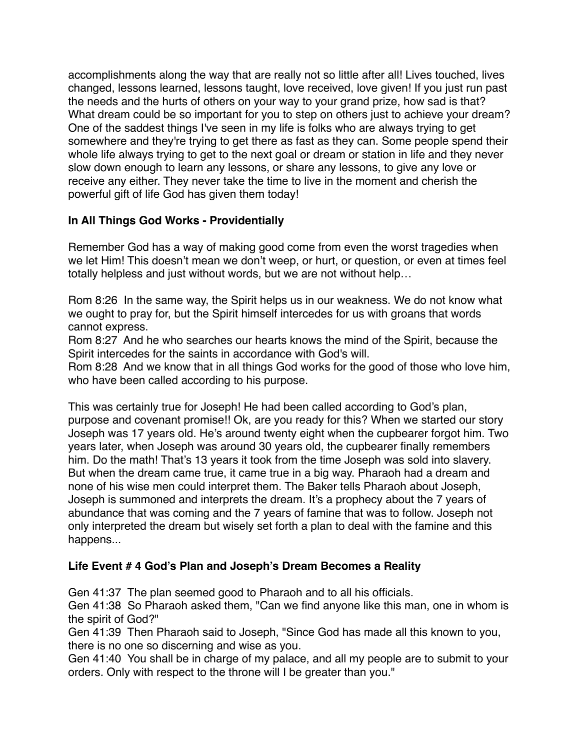accomplishments along the way that are really not so little after all! Lives touched, lives changed, lessons learned, lessons taught, love received, love given! If you just run past the needs and the hurts of others on your way to your grand prize, how sad is that? What dream could be so important for you to step on others just to achieve your dream? One of the saddest things I've seen in my life is folks who are always trying to get somewhere and they're trying to get there as fast as they can. Some people spend their whole life always trying to get to the next goal or dream or station in life and they never slow down enough to learn any lessons, or share any lessons, to give any love or receive any either. They never take the time to live in the moment and cherish the powerful gift of life God has given them today!

## **In All Things God Works - Providentially**

Remember God has a way of making good come from even the worst tragedies when we let Him! This doesn't mean we don't weep, or hurt, or question, or even at times feel totally helpless and just without words, but we are not without help…

Rom 8:26 In the same way, the Spirit helps us in our weakness. We do not know what we ought to pray for, but the Spirit himself intercedes for us with groans that words cannot express.

Rom 8:27 And he who searches our hearts knows the mind of the Spirit, because the Spirit intercedes for the saints in accordance with God's will.

Rom 8:28 And we know that in all things God works for the good of those who love him, who have been called according to his purpose.

This was certainly true for Joseph! He had been called according to God's plan, purpose and covenant promise!! Ok, are you ready for this? When we started our story Joseph was 17 years old. He's around twenty eight when the cupbearer forgot him. Two years later, when Joseph was around 30 years old, the cupbearer finally remembers him. Do the math! That's 13 years it took from the time Joseph was sold into slavery. But when the dream came true, it came true in a big way. Pharaoh had a dream and none of his wise men could interpret them. The Baker tells Pharaoh about Joseph, Joseph is summoned and interprets the dream. It's a prophecy about the 7 years of abundance that was coming and the 7 years of famine that was to follow. Joseph not only interpreted the dream but wisely set forth a plan to deal with the famine and this happens...

## **Life Event # 4 God's Plan and Joseph's Dream Becomes a Reality**

Gen 41:37 The plan seemed good to Pharaoh and to all his officials.

Gen 41:38 So Pharaoh asked them, "Can we find anyone like this man, one in whom is the spirit of God?"

Gen 41:39 Then Pharaoh said to Joseph, "Since God has made all this known to you, there is no one so discerning and wise as you.

Gen 41:40 You shall be in charge of my palace, and all my people are to submit to your orders. Only with respect to the throne will I be greater than you."